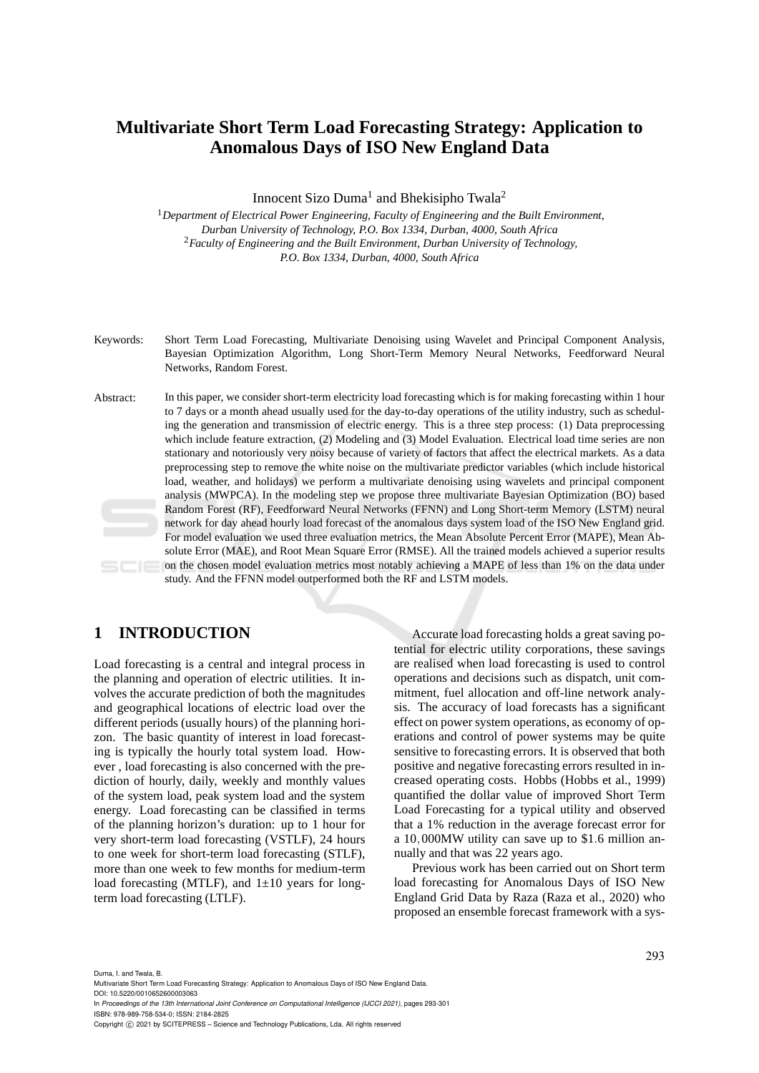# **Multivariate Short Term Load Forecasting Strategy: Application to Anomalous Days of ISO New England Data**

Innocent Sizo Duma<sup>1</sup> and Bhekisipho Twala<sup>2</sup>

<sup>1</sup>*Department of Electrical Power Engineering, Faculty of Engineering and the Built Environment, Durban University of Technology, P.O. Box 1334, Durban, 4000, South Africa* <sup>2</sup>*Faculty of Engineering and the Built Environment, Durban University of Technology, P.O. Box 1334, Durban, 4000, South Africa*

- Keywords: Short Term Load Forecasting, Multivariate Denoising using Wavelet and Principal Component Analysis, Bayesian Optimization Algorithm, Long Short-Term Memory Neural Networks, Feedforward Neural Networks, Random Forest.
- Abstract: In this paper, we consider short-term electricity load forecasting which is for making forecasting within 1 hour to 7 days or a month ahead usually used for the day-to-day operations of the utility industry, such as scheduling the generation and transmission of electric energy. This is a three step process: (1) Data preprocessing which include feature extraction, (2) Modeling and (3) Model Evaluation. Electrical load time series are non stationary and notoriously very noisy because of variety of factors that affect the electrical markets. As a data preprocessing step to remove the white noise on the multivariate predictor variables (which include historical load, weather, and holidays) we perform a multivariate denoising using wavelets and principal component analysis (MWPCA). In the modeling step we propose three multivariate Bayesian Optimization (BO) based Random Forest (RF), Feedforward Neural Networks (FFNN) and Long Short-term Memory (LSTM) neural network for day ahead hourly load forecast of the anomalous days system load of the ISO New England grid. For model evaluation we used three evaluation metrics, the Mean Absolute Percent Error (MAPE), Mean Absolute Error (MAE), and Root Mean Square Error (RMSE). All the trained models achieved a superior results on the chosen model evaluation metrics most notably achieving a MAPE of less than 1% on the data under study. And the FFNN model outperformed both the RF and LSTM models.

# **1 INTRODUCTION**

Load forecasting is a central and integral process in the planning and operation of electric utilities. It involves the accurate prediction of both the magnitudes and geographical locations of electric load over the different periods (usually hours) of the planning horizon. The basic quantity of interest in load forecasting is typically the hourly total system load. However , load forecasting is also concerned with the prediction of hourly, daily, weekly and monthly values of the system load, peak system load and the system energy. Load forecasting can be classified in terms of the planning horizon's duration: up to 1 hour for very short-term load forecasting (VSTLF), 24 hours to one week for short-term load forecasting (STLF), more than one week to few months for medium-term load forecasting (MTLF), and  $1\pm 10$  years for longterm load forecasting (LTLF).

Accurate load forecasting holds a great saving potential for electric utility corporations, these savings are realised when load forecasting is used to control operations and decisions such as dispatch, unit commitment, fuel allocation and off-line network analysis. The accuracy of load forecasts has a significant effect on power system operations, as economy of operations and control of power systems may be quite sensitive to forecasting errors. It is observed that both positive and negative forecasting errors resulted in increased operating costs. Hobbs (Hobbs et al., 1999) quantified the dollar value of improved Short Term Load Forecasting for a typical utility and observed that a 1% reduction in the average forecast error for a 10,000MW utility can save up to \$1.6 million annually and that was 22 years ago.

Previous work has been carried out on Short term load forecasting for Anomalous Days of ISO New England Grid Data by Raza (Raza et al., 2020) who proposed an ensemble forecast framework with a sys-

Duma, I. and Twala, B.

Multivariate Short Term Load Forecasting Strategy: Application to Anomalous Days of ISO New England Data. DOI: 10.5220/0010652600003063

In *Proceedings of the 13th International Joint Conference on Computational Intelligence (IJCCI 2021)*, pages 293-301 ISBN: 978-989-758-534-0; ISSN: 2184-2825

Copyright (C) 2021 by SCITEPRESS - Science and Technology Publications, Lda. All rights reserved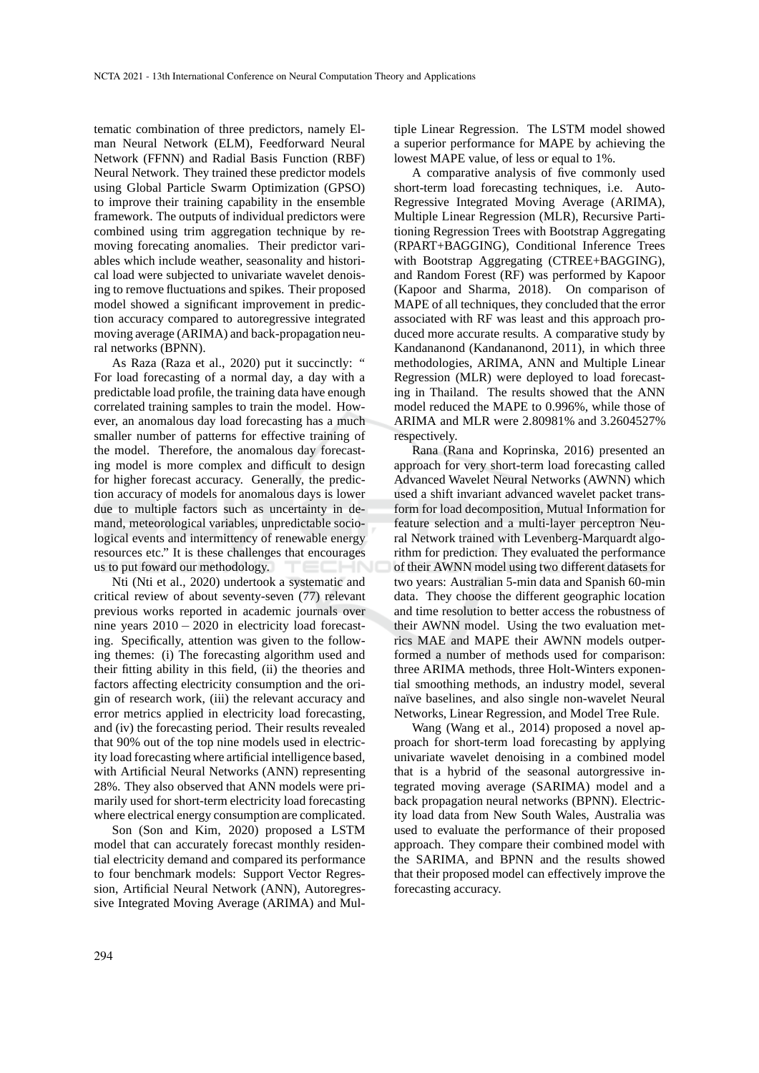tematic combination of three predictors, namely Elman Neural Network (ELM), Feedforward Neural Network (FFNN) and Radial Basis Function (RBF) Neural Network. They trained these predictor models using Global Particle Swarm Optimization (GPSO) to improve their training capability in the ensemble framework. The outputs of individual predictors were combined using trim aggregation technique by removing forecating anomalies. Their predictor variables which include weather, seasonality and historical load were subjected to univariate wavelet denoising to remove fluctuations and spikes. Their proposed model showed a significant improvement in prediction accuracy compared to autoregressive integrated moving average (ARIMA) and back-propagation neural networks (BPNN).

As Raza (Raza et al., 2020) put it succinctly: " For load forecasting of a normal day, a day with a predictable load profile, the training data have enough correlated training samples to train the model. However, an anomalous day load forecasting has a much smaller number of patterns for effective training of the model. Therefore, the anomalous day forecasting model is more complex and difficult to design for higher forecast accuracy. Generally, the prediction accuracy of models for anomalous days is lower due to multiple factors such as uncertainty in demand, meteorological variables, unpredictable sociological events and intermittency of renewable energy resources etc." It is these challenges that encourages us to put foward our methodology.

Nti (Nti et al., 2020) undertook a systematic and critical review of about seventy-seven (77) relevant previous works reported in academic journals over nine years 2010 − 2020 in electricity load forecasting. Specifically, attention was given to the following themes: (i) The forecasting algorithm used and their fitting ability in this field, (ii) the theories and factors affecting electricity consumption and the origin of research work, (iii) the relevant accuracy and error metrics applied in electricity load forecasting, and (iv) the forecasting period. Their results revealed that 90% out of the top nine models used in electricity load forecasting where artificial intelligence based, with Artificial Neural Networks (ANN) representing 28%. They also observed that ANN models were primarily used for short-term electricity load forecasting where electrical energy consumption are complicated.

Son (Son and Kim, 2020) proposed a LSTM model that can accurately forecast monthly residential electricity demand and compared its performance to four benchmark models: Support Vector Regression, Artificial Neural Network (ANN), Autoregressive Integrated Moving Average (ARIMA) and Multiple Linear Regression. The LSTM model showed a superior performance for MAPE by achieving the lowest MAPE value, of less or equal to 1%.

A comparative analysis of five commonly used short-term load forecasting techniques, i.e. Auto-Regressive Integrated Moving Average (ARIMA), Multiple Linear Regression (MLR), Recursive Partitioning Regression Trees with Bootstrap Aggregating (RPART+BAGGING), Conditional Inference Trees with Bootstrap Aggregating (CTREE+BAGGING), and Random Forest (RF) was performed by Kapoor (Kapoor and Sharma, 2018). On comparison of MAPE of all techniques, they concluded that the error associated with RF was least and this approach produced more accurate results. A comparative study by Kandananond (Kandananond, 2011), in which three methodologies, ARIMA, ANN and Multiple Linear Regression (MLR) were deployed to load forecasting in Thailand. The results showed that the ANN model reduced the MAPE to 0.996%, while those of ARIMA and MLR were 2.80981% and 3.2604527% respectively.

Rana (Rana and Koprinska, 2016) presented an approach for very short-term load forecasting called Advanced Wavelet Neural Networks (AWNN) which used a shift invariant advanced wavelet packet transform for load decomposition, Mutual Information for feature selection and a multi-layer perceptron Neural Network trained with Levenberg-Marquardt algorithm for prediction. They evaluated the performance of their AWNN model using two different datasets for two years: Australian 5-min data and Spanish 60-min data. They choose the different geographic location and time resolution to better access the robustness of their AWNN model. Using the two evaluation metrics MAE and MAPE their AWNN models outperformed a number of methods used for comparison: three ARIMA methods, three Holt-Winters exponential smoothing methods, an industry model, several naïve baselines, and also single non-wavelet Neural Networks, Linear Regression, and Model Tree Rule.

Wang (Wang et al., 2014) proposed a novel approach for short-term load forecasting by applying univariate wavelet denoising in a combined model that is a hybrid of the seasonal autorgressive integrated moving average (SARIMA) model and a back propagation neural networks (BPNN). Electricity load data from New South Wales, Australia was used to evaluate the performance of their proposed approach. They compare their combined model with the SARIMA, and BPNN and the results showed that their proposed model can effectively improve the forecasting accuracy.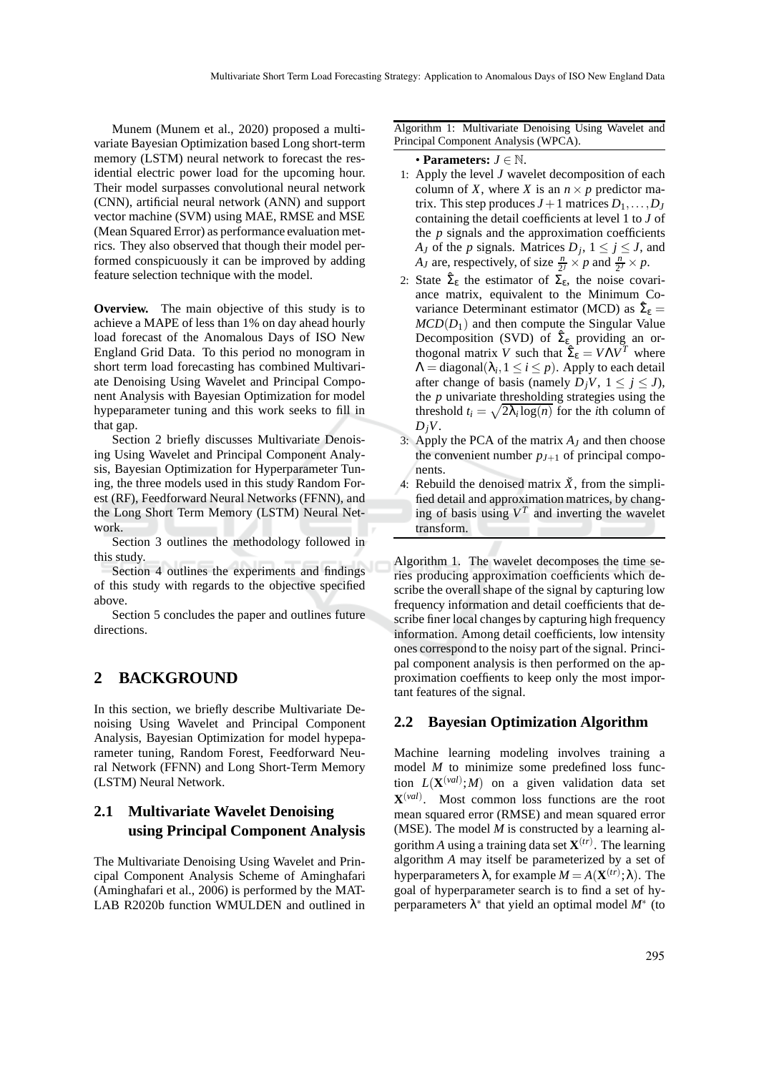Munem (Munem et al., 2020) proposed a multivariate Bayesian Optimization based Long short-term memory (LSTM) neural network to forecast the residential electric power load for the upcoming hour. Their model surpasses convolutional neural network (CNN), artificial neural network (ANN) and support vector machine (SVM) using MAE, RMSE and MSE (Mean Squared Error) as performance evaluation metrics. They also observed that though their model performed conspicuously it can be improved by adding feature selection technique with the model.

**Overview.** The main objective of this study is to achieve a MAPE of less than 1% on day ahead hourly load forecast of the Anomalous Days of ISO New England Grid Data. To this period no monogram in short term load forecasting has combined Multivariate Denoising Using Wavelet and Principal Component Analysis with Bayesian Optimization for model hypeparameter tuning and this work seeks to fill in that gap.

Section 2 briefly discusses Multivariate Denoising Using Wavelet and Principal Component Analysis, Bayesian Optimization for Hyperparameter Tuning, the three models used in this study Random Forest (RF), Feedforward Neural Networks (FFNN), and the Long Short Term Memory (LSTM) Neural Network.

Section 3 outlines the methodology followed in this study.

Section 4 outlines the experiments and findings of this study with regards to the objective specified above.

Section 5 concludes the paper and outlines future directions.

### **2 BACKGROUND**

In this section, we briefly describe Multivariate Denoising Using Wavelet and Principal Component Analysis, Bayesian Optimization for model hypeparameter tuning, Random Forest, Feedforward Neural Network (FFNN) and Long Short-Term Memory (LSTM) Neural Network.

## **2.1 Multivariate Wavelet Denoising using Principal Component Analysis**

The Multivariate Denoising Using Wavelet and Principal Component Analysis Scheme of Aminghafari (Aminghafari et al., 2006) is performed by the MAT-LAB R2020b function WMULDEN and outlined in

Algorithm 1: Multivariate Denoising Using Wavelet and Principal Component Analysis (WPCA).

#### • **Parameters:** *<sup>J</sup>* <sup>∈</sup> <sup>N</sup>.

- 1: Apply the level *J* wavelet decomposition of each column of *X*, where *X* is an  $n \times p$  predictor matrix. This step produces  $J+1$  matrices  $D_1, \ldots, D_J$ containing the detail coefficients at level 1 to *J* of the *p* signals and the approximation coefficients *A<sub>J</sub>* of the *p* signals. Matrices  $D_j$ ,  $1 \le j \le J$ , and *A<sub>J</sub>* are, respectively, of size  $\frac{n}{2^j} \times p$  and  $\frac{n}{2^j} \times p$ .
- 2: State  $\hat{\Sigma}_{\epsilon}$  the estimator of  $\Sigma_{\epsilon}$ , the noise covariance matrix, equivalent to the Minimum Covariance Determinant estimator (MCD) as  $\hat{\Sigma}_{\epsilon} =$  $MCD(D_1)$  and then compute the Singular Value Decomposition (SVD) of  $\hat{\Sigma}_{\epsilon}$  providing an orthogonal matrix *V* such that  $\hat{\Sigma}_{\epsilon} = V \Lambda V^T$  where  $\Lambda = \text{diagonal}(\lambda_i, 1 \leq i \leq p)$ . Apply to each detail after change of basis (namely  $D_jV$ ,  $1 \leq j \leq J$ ), the *p* univariate thresholding strategies using the threshold  $t_i = \sqrt{2\lambda_i \log(n)}$  for the *i*th column of  $D_jV$ .
- 3: Apply the PCA of the matrix *A<sup>J</sup>* and then choose the convenient number  $p_{J+1}$  of principal components.
- 4: Rebuild the denoised matrix  $\check{X}$ , from the simplified detail and approximation matrices, by changing of basis using  $V^T$  and inverting the wavelet transform.

Algorithm 1. The wavelet decomposes the time series producing approximation coefficients which describe the overall shape of the signal by capturing low frequency information and detail coefficients that describe finer local changes by capturing high frequency information. Among detail coefficients, low intensity ones correspond to the noisy part of the signal. Principal component analysis is then performed on the approximation coeffients to keep only the most important features of the signal.

### **2.2 Bayesian Optimization Algorithm**

Machine learning modeling involves training a model *M* to minimize some predefined loss function  $L(\mathbf{X}^{(val)};M)$  on a given validation data set  $\mathbf{X}^{(val)}$ . Most common loss functions are the root mean squared error (RMSE) and mean squared error (MSE). The model *M* is constructed by a learning algorithm *A* using a training data set  $X^{(tr)}$ . The learning algorithm *A* may itself be parameterized by a set of hyperparameters  $\lambda$ , for example  $M = A(\mathbf{X}^{(tr)}; \lambda)$ . The goal of hyperparameter search is to find a set of hyperparameters  $\lambda^*$  that yield an optimal model  $M^*$  (to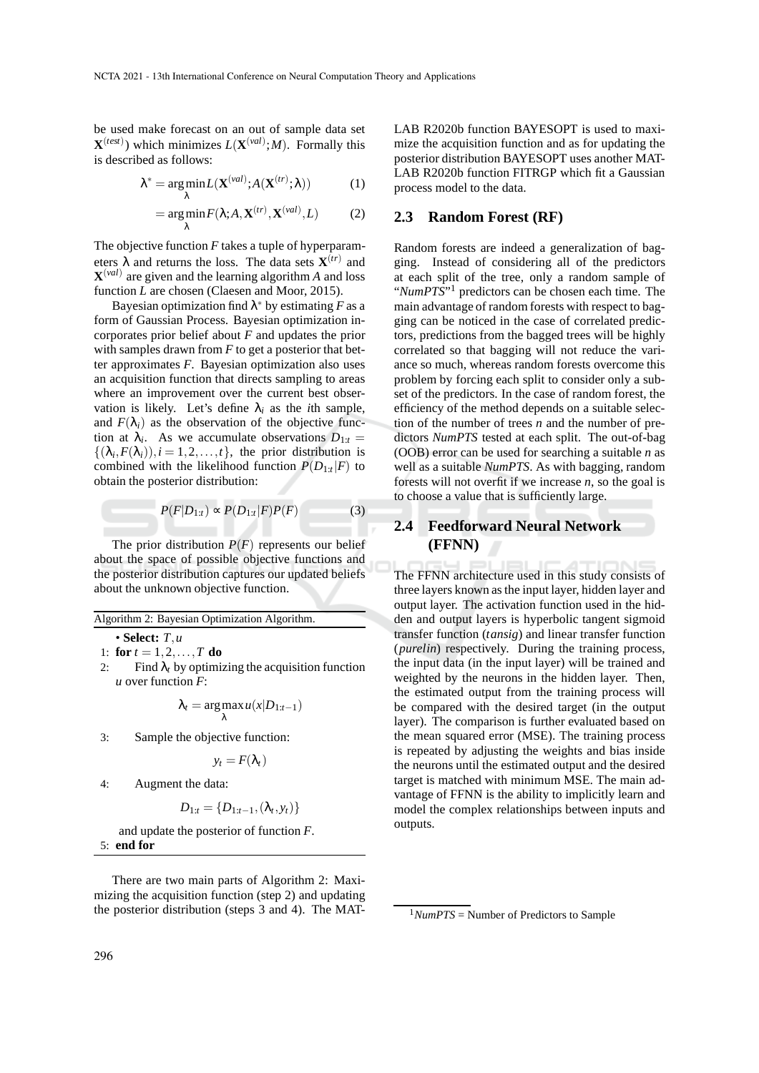be used make forecast on an out of sample data set  $\mathbf{X}^{(test)}$ ) which minimizes  $L(\mathbf{X}^{(val)};M)$ . Formally this is described as follows:

$$
\lambda^* = \underset{\lambda}{\arg\min} L(\mathbf{X}^{(val)}; A(\mathbf{X}^{(tr)}; \lambda))
$$
 (1)

$$
= \arg\min_{\lambda} F(\lambda; A, \mathbf{X}^{(tr)}, \mathbf{X}^{(val)}, L) \tag{2}
$$

The objective function *F* takes a tuple of hyperparameters  $\lambda$  and returns the loss. The data sets  $\mathbf{X}^{(tr)}$  and **X** (*val*) are given and the learning algorithm *A* and loss function *L* are chosen (Claesen and Moor, 2015).

Bayesian optimization find  $\lambda^*$  by estimating F as a form of Gaussian Process. Bayesian optimization incorporates prior belief about *F* and updates the prior with samples drawn from *F* to get a posterior that better approximates *F*. Bayesian optimization also uses an acquisition function that directs sampling to areas where an improvement over the current best observation is likely. Let's define  $\lambda_i$  as the *i*th sample, and  $F(\lambda_i)$  as the observation of the objective function at  $\lambda_i$ . As we accumulate observations  $D_{1:t} =$  $\{(\lambda_i, F(\lambda_i)), i = 1, 2, \ldots, t\}$ , the prior distribution is combined with the likelihood function  $P(D_{1:t}|F)$  to obtain the posterior distribution:

$$
P(F|D_{1:t}) \propto P(D_{1:t}|F)P(F) \tag{3}
$$

The prior distribution  $P(F)$  represents our belief about the space of possible objective functions and the posterior distribution captures our updated beliefs about the unknown objective function.

Algorithm 2: Bayesian Optimization Algorithm.

• **Select:** *T*,*u*

- 1: **for**  $t = 1, 2, ..., T$  **do**<br>2: Find  $\lambda_t$  by optimi
- Find  $\lambda_t$  by optimizing the acquisition function *u* over function *F*:

$$
\lambda_t = \argmax_{\lambda} u(x|D_{1:t-1})
$$

3: Sample the objective function:

$$
y_t = F(\lambda_t)
$$

4: Augment the data:

$$
D_{1:t} = \{D_{1:t-1}, (\lambda_t, y_t)\}
$$

and update the posterior of function *F*. 5: **end for**

There are two main parts of Algorithm 2: Maximizing the acquisition function (step 2) and updating the posterior distribution (steps 3 and 4). The MAT- LAB R2020b function BAYESOPT is used to maximize the acquisition function and as for updating the posterior distribution BAYESOPT uses another MAT-LAB R2020b function FITRGP which fit a Gaussian process model to the data.

#### **2.3 Random Forest (RF)**

Random forests are indeed a generalization of bagging. Instead of considering all of the predictors at each split of the tree, only a random sample of "NumPTS"<sup>1</sup> predictors can be chosen each time. The main advantage of random forests with respect to bagging can be noticed in the case of correlated predictors, predictions from the bagged trees will be highly correlated so that bagging will not reduce the variance so much, whereas random forests overcome this problem by forcing each split to consider only a subset of the predictors. In the case of random forest, the efficiency of the method depends on a suitable selection of the number of trees *n* and the number of predictors *NumPTS* tested at each split. The out-of-bag (OOB) error can be used for searching a suitable *n* as well as a suitable *NumPTS*. As with bagging, random forests will not overfit if we increase *n*, so the goal is to choose a value that is sufficiently large.

# **2.4 Feedforward Neural Network (FFNN)**

The FFNN architecture used in this study consists of three layers known as the input layer, hidden layer and output layer. The activation function used in the hidden and output layers is hyperbolic tangent sigmoid transfer function (*tansig*) and linear transfer function (*purelin*) respectively. During the training process, the input data (in the input layer) will be trained and weighted by the neurons in the hidden layer. Then, the estimated output from the training process will be compared with the desired target (in the output layer). The comparison is further evaluated based on the mean squared error (MSE). The training process is repeated by adjusting the weights and bias inside the neurons until the estimated output and the desired target is matched with minimum MSE. The main advantage of FFNN is the ability to implicitly learn and model the complex relationships between inputs and outputs.

 $1$ *NumPTS* = Number of Predictors to Sample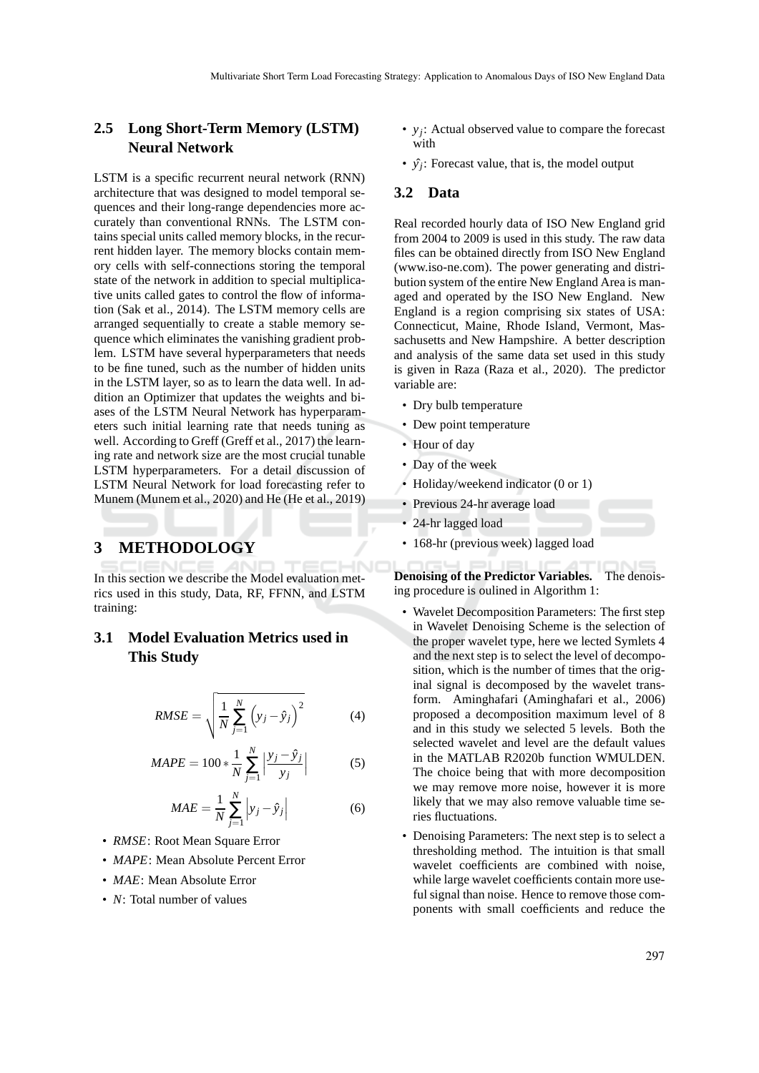## **2.5 Long Short-Term Memory (LSTM) Neural Network**

LSTM is a specific recurrent neural network (RNN) architecture that was designed to model temporal sequences and their long-range dependencies more accurately than conventional RNNs. The LSTM contains special units called memory blocks, in the recurrent hidden layer. The memory blocks contain memory cells with self-connections storing the temporal state of the network in addition to special multiplicative units called gates to control the flow of information (Sak et al., 2014). The LSTM memory cells are arranged sequentially to create a stable memory sequence which eliminates the vanishing gradient problem. LSTM have several hyperparameters that needs to be fine tuned, such as the number of hidden units in the LSTM layer, so as to learn the data well. In addition an Optimizer that updates the weights and biases of the LSTM Neural Network has hyperparameters such initial learning rate that needs tuning as well. According to Greff (Greff et al., 2017) the learning rate and network size are the most crucial tunable LSTM hyperparameters. For a detail discussion of LSTM Neural Network for load forecasting refer to Munem (Munem et al., 2020) and He (He et al., 2019)

### **3 METHODOLOGY**

In this section we describe the Model evaluation metrics used in this study, Data, RF, FFNN, and LSTM training:

# **3.1 Model Evaluation Metrics used in This Study**

$$
RMSE = \sqrt{\frac{1}{N} \sum_{j=1}^{N} (y_j - \hat{y}_j)^2}
$$
 (4)

$$
MAPE = 100 * \frac{1}{N} \sum_{j=1}^{N} \left| \frac{y_j - \hat{y}_j}{y_j} \right|
$$
 (5)

$$
MAE = \frac{1}{N} \sum_{j=1}^{N} \left| y_j - \hat{y}_j \right| \tag{6}
$$

- *RMSE*: Root Mean Square Error
- *MAPE*: Mean Absolute Percent Error
- *MAE*: Mean Absolute Error
- *N*: Total number of values
- *y<sup>j</sup>* : Actual observed value to compare the forecast with
- $\hat{y}_j$ : Forecast value, that is, the model output

### **3.2 Data**

Real recorded hourly data of ISO New England grid from 2004 to 2009 is used in this study. The raw data files can be obtained directly from ISO New England (www.iso-ne.com). The power generating and distribution system of the entire New England Area is managed and operated by the ISO New England. New England is a region comprising six states of USA: Connecticut, Maine, Rhode Island, Vermont, Massachusetts and New Hampshire. A better description and analysis of the same data set used in this study is given in Raza (Raza et al., 2020). The predictor variable are:

- Dry bulb temperature
- Dew point temperature
- Hour of day
- Day of the week
- Holiday/weekend indicator (0 or 1)
- Previous 24-hr average load
- 24-hr lagged load
- 168-hr (previous week) lagged load

**Denoising of the Predictor Variables.** The denoising procedure is oulined in Algorithm 1:

- Wavelet Decomposition Parameters: The first step in Wavelet Denoising Scheme is the selection of the proper wavelet type, here we lected Symlets 4 and the next step is to select the level of decomposition, which is the number of times that the original signal is decomposed by the wavelet transform. Aminghafari (Aminghafari et al., 2006) proposed a decomposition maximum level of 8 and in this study we selected 5 levels. Both the selected wavelet and level are the default values in the MATLAB R2020b function WMULDEN. The choice being that with more decomposition we may remove more noise, however it is more likely that we may also remove valuable time series fluctuations.
- Denoising Parameters: The next step is to select a thresholding method. The intuition is that small wavelet coefficients are combined with noise, while large wavelet coefficients contain more useful signal than noise. Hence to remove those components with small coefficients and reduce the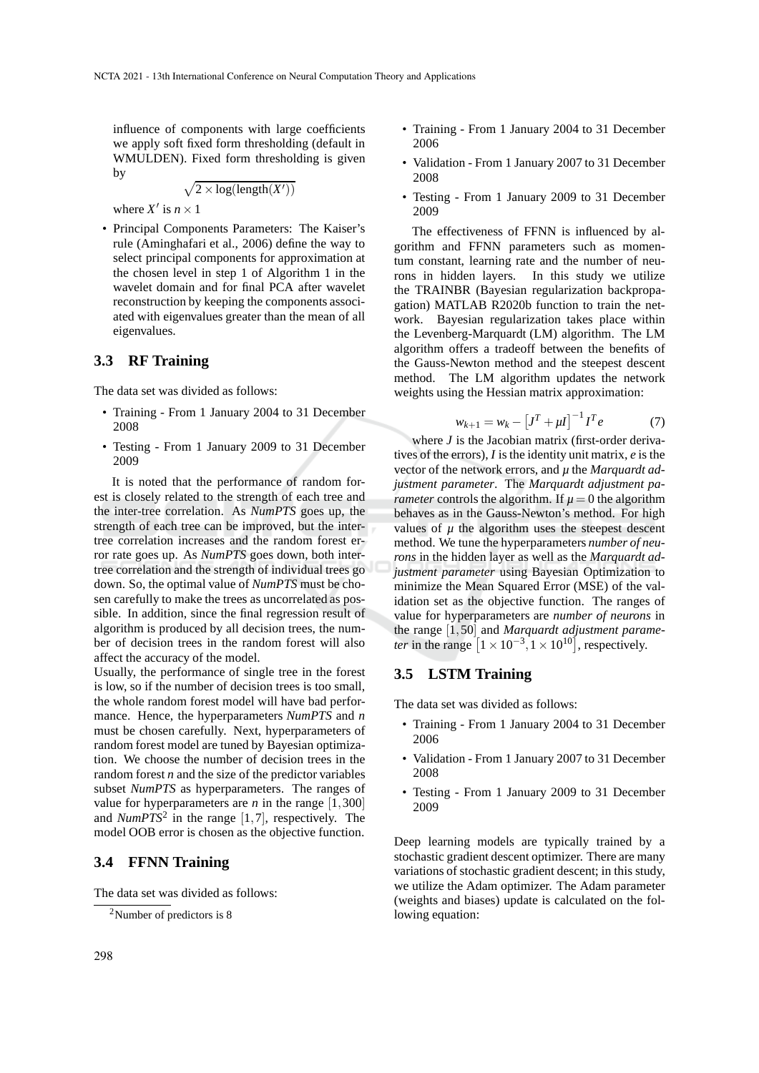influence of components with large coefficients we apply soft fixed form thresholding (default in WMULDEN). Fixed form thresholding is given by

$$
\sqrt{2 \times \log(\text{length}(X'))}
$$

where  $X'$  is  $n \times 1$ 

• Principal Components Parameters: The Kaiser's rule (Aminghafari et al., 2006) define the way to select principal components for approximation at the chosen level in step 1 of Algorithm 1 in the wavelet domain and for final PCA after wavelet reconstruction by keeping the components associated with eigenvalues greater than the mean of all eigenvalues.

### **3.3 RF Training**

The data set was divided as follows:

- Training From 1 January 2004 to 31 December 2008
- Testing From 1 January 2009 to 31 December 2009

It is noted that the performance of random forest is closely related to the strength of each tree and the inter-tree correlation. As *NumPTS* goes up, the strength of each tree can be improved, but the intertree correlation increases and the random forest error rate goes up. As *NumPTS* goes down, both intertree correlation and the strength of individual trees go down. So, the optimal value of *NumPTS* must be chosen carefully to make the trees as uncorrelated as possible. In addition, since the final regression result of algorithm is produced by all decision trees, the number of decision trees in the random forest will also affect the accuracy of the model.

Usually, the performance of single tree in the forest is low, so if the number of decision trees is too small, the whole random forest model will have bad performance. Hence, the hyperparameters *NumPTS* and *n* must be chosen carefully. Next, hyperparameters of random forest model are tuned by Bayesian optimization. We choose the number of decision trees in the random forest *n* and the size of the predictor variables subset *NumPTS* as hyperparameters. The ranges of value for hyperparameters are  $n$  in the range  $[1,300]$ and  $NumPTS<sup>2</sup>$  in the range [1,7], respectively. The model OOB error is chosen as the objective function.

#### **3.4 FFNN Training**

The data set was divided as follows:

- Training From 1 January 2004 to 31 December 2006
- Validation From 1 January 2007 to 31 December 2008
- Testing From 1 January 2009 to 31 December 2009

The effectiveness of FFNN is influenced by algorithm and FFNN parameters such as momentum constant, learning rate and the number of neurons in hidden layers. In this study we utilize the TRAINBR (Bayesian regularization backpropagation) MATLAB R2020b function to train the network. Bayesian regularization takes place within the Levenberg-Marquardt (LM) algorithm. The LM algorithm offers a tradeoff between the benefits of the Gauss-Newton method and the steepest descent method. The LM algorithm updates the network weights using the Hessian matrix approximation:

$$
w_{k+1} = w_k - [J^T + \mu I]^{-1} I^T e \tag{7}
$$

where *J* is the Jacobian matrix (first-order derivatives of the errors), *I* is the identity unit matrix, *e* is the vector of the network errors, and *µ* the *Marquardt adjustment parameter*. The *Marquardt adjustment parameter* controls the algorithm. If  $\mu = 0$  the algorithm behaves as in the Gauss-Newton's method. For high values of  $\mu$  the algorithm uses the steepest descent method. We tune the hyperparameters *number of neurons* in the hidden layer as well as the *Marquardt adjustment parameter* using Bayesian Optimization to minimize the Mean Squared Error (MSE) of the validation set as the objective function. The ranges of value for hyperparameters are *number of neurons* in the range [1,50] and *Marquardt adjustment parameter* in the range  $\left[1 \times 10^{-3}, 1 \times 10^{10}\right]$ , respectively.

#### **3.5 LSTM Training**

The data set was divided as follows:

- Training From 1 January 2004 to 31 December 2006
- Validation From 1 January 2007 to 31 December 2008
- Testing From 1 January 2009 to 31 December 2009

Deep learning models are typically trained by a stochastic gradient descent optimizer. There are many variations of stochastic gradient descent; in this study, we utilize the Adam optimizer. The Adam parameter (weights and biases) update is calculated on the following equation:

<sup>2</sup>Number of predictors is 8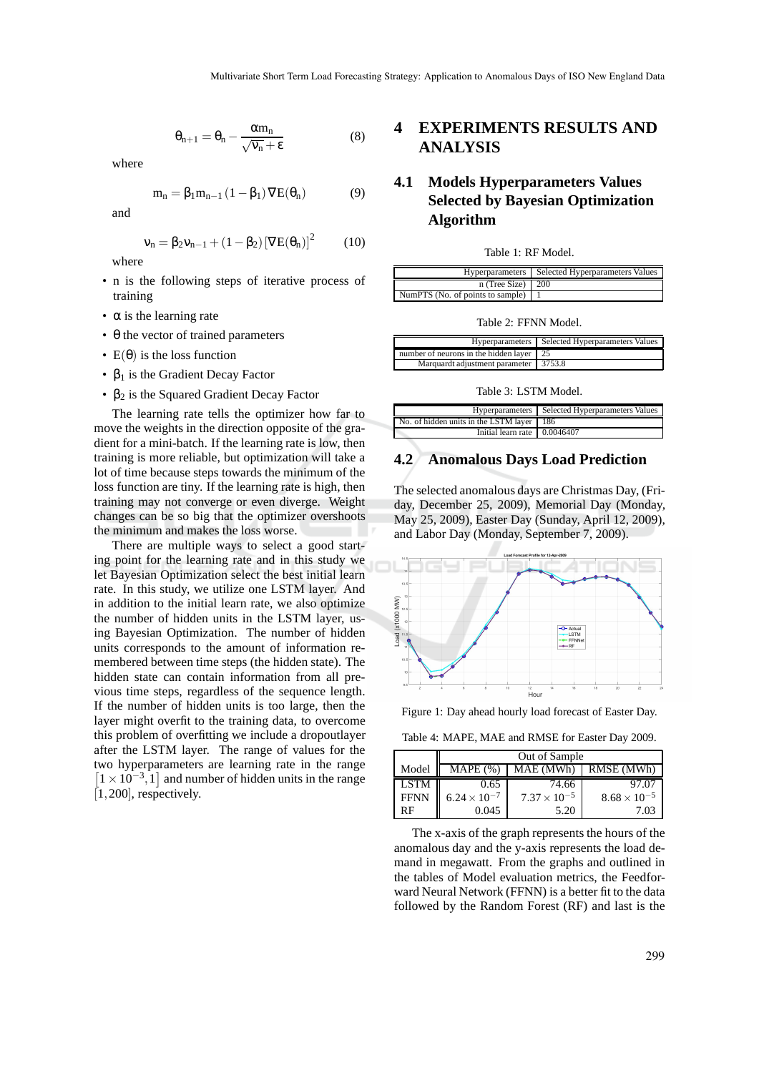$$
\theta_{n+1} = \theta_n - \frac{\alpha m_n}{\sqrt{v_n} + \epsilon} \tag{8}
$$

where

$$
m_n = \beta_1 m_{n-1} (1 - \beta_1) \nabla E(\theta_n)
$$
 (9)

and

$$
\nu_n = \beta_2 \nu_{n-1} + (1 - \beta_2) [\nabla E(\theta_n)]^2 \tag{10}
$$

where

- n is the following steps of iterative process of training
- $\bullet$   $\alpha$  is the learning rate
- $\bullet$   $\theta$  the vector of trained parameters
- $E(\theta)$  is the loss function
- $\beta_1$  is the Gradient Decay Factor
- $β<sub>2</sub>$  is the Squared Gradient Decay Factor

The learning rate tells the optimizer how far to move the weights in the direction opposite of the gradient for a mini-batch. If the learning rate is low, then training is more reliable, but optimization will take a lot of time because steps towards the minimum of the loss function are tiny. If the learning rate is high, then training may not converge or even diverge. Weight changes can be so big that the optimizer overshoots the minimum and makes the loss worse.

There are multiple ways to select a good starting point for the learning rate and in this study we let Bayesian Optimization select the best initial learn rate. In this study, we utilize one LSTM layer. And in addition to the initial learn rate, we also optimize the number of hidden units in the LSTM layer, using Bayesian Optimization. The number of hidden units corresponds to the amount of information remembered between time steps (the hidden state). The hidden state can contain information from all previous time steps, regardless of the sequence length. If the number of hidden units is too large, then the layer might overfit to the training data, to overcome this problem of overfitting we include a dropoutlayer after the LSTM layer. The range of values for the two hyperparameters are learning rate in the range  $\left[1 \times 10^{-3}, 1\right]$  and number of hidden units in the range  $[1,200]$ , respectively.

# **4 EXPERIMENTS RESULTS AND ANALYSIS**

# **4.1 Models Hyperparameters Values Selected by Bayesian Optimization Algorithm**

| Table 1: RF Model. |
|--------------------|
|--------------------|

|                                  | Hyperparameters   Selected Hyperparameters Values |
|----------------------------------|---------------------------------------------------|
| $n$ (Tree Size)   200            |                                                   |
| NumPTS (No. of points to sample) |                                                   |
|                                  |                                                   |

Table 2: FFNN Model.

|                                                  | Hyperparameters   Selected Hyperparameters Values |
|--------------------------------------------------|---------------------------------------------------|
| number of neurons in the hidden layer $\vert$ 25 |                                                   |
| Marquardt adjustment parameter 3753.8            |                                                   |

Table 3: LSTM Model.

|                                             | Hyperparameters Selected Hyperparameters Values |
|---------------------------------------------|-------------------------------------------------|
| No. of hidden units in the LSTM layer   186 |                                                 |
| Initial learn rate $\sqrt{(0.0046407)}$     |                                                 |

#### **4.2 Anomalous Days Load Prediction**

The selected anomalous days are Christmas Day, (Friday, December 25, 2009), Memorial Day (Monday, May 25, 2009), Easter Day (Sunday, April 12, 2009), and Labor Day (Monday, September 7, 2009).



Figure 1: Day ahead hourly load forecast of Easter Day.

Table 4: MAPE, MAE and RMSE for Easter Day 2009.

|             | Out of Sample         |                       |                       |
|-------------|-----------------------|-----------------------|-----------------------|
| Model       | MAPE (%               | MAE (MWh)             | RMSE (MWh)            |
| <b>LSTM</b> | 0.65                  | 74.66                 | 97.07                 |
| <b>FFNN</b> | $6.24 \times 10^{-7}$ | $7.37 \times 10^{-5}$ | $8.68 \times 10^{-5}$ |
| RF          | 0.045                 | 5.20                  | 1.03                  |

The x-axis of the graph represents the hours of the anomalous day and the y-axis represents the load demand in megawatt. From the graphs and outlined in the tables of Model evaluation metrics, the Feedforward Neural Network (FFNN) is a better fit to the data followed by the Random Forest (RF) and last is the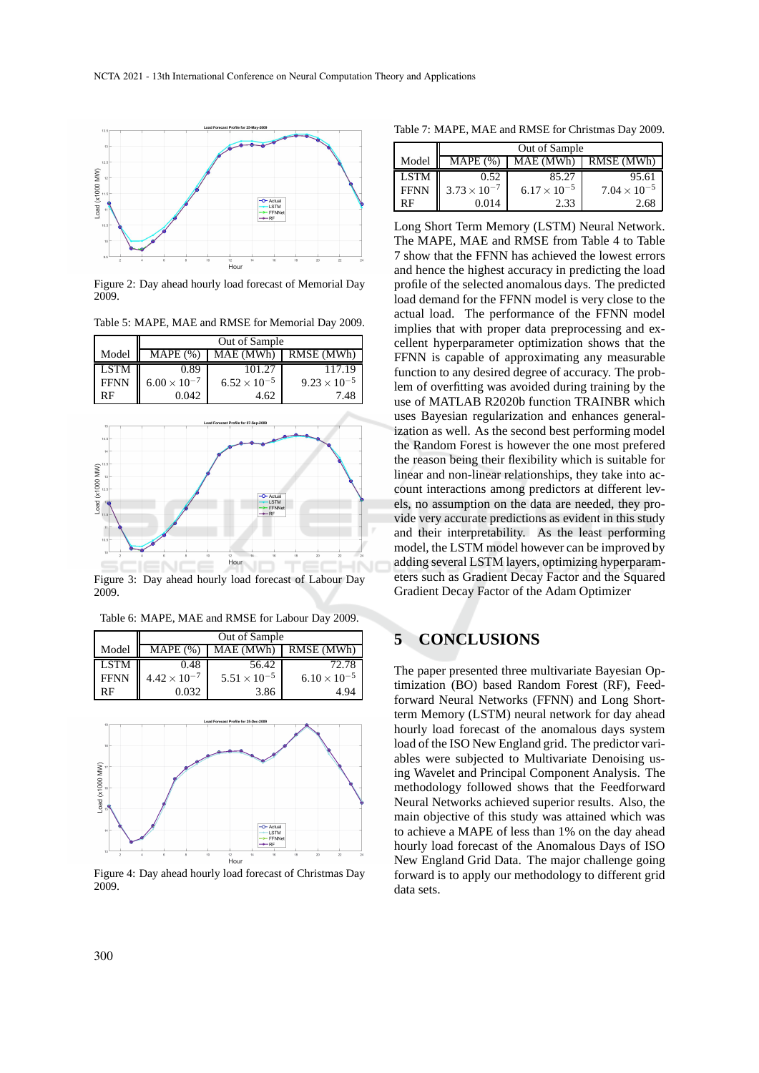

Figure 2: Day ahead hourly load forecast of Memorial Day 2009.

Table 5: MAPE, MAE and RMSE for Memorial Day 2009.

|             | Out of Sample         |                       |                       |
|-------------|-----------------------|-----------------------|-----------------------|
| Model       | $MAPE (\%)$           | MAE (MWh)             | RMSE (MWh)            |
| <b>LSTM</b> | 0.89                  | 101.27                | 117.19                |
| <b>FFNN</b> | $6.00 \times 10^{-7}$ | $6.52 \times 10^{-5}$ | $9.23 \times 10^{-5}$ |
| RF          | 0.042                 | 4.62                  | 7.48                  |



Figure 3: Day ahead hourly load forecast of Labour Day 2009.

Table 6: MAPE, MAE and RMSE for Labour Day 2009.

|             | Out of Sample         |                       |                       |
|-------------|-----------------------|-----------------------|-----------------------|
| Model       | MAPE (%`              | MAE (MWh)             | RMSE (MWh)            |
| <b>LSTM</b> | 0.48                  | 56.42                 | 72.78                 |
| <b>FFNN</b> | $4.42 \times 10^{-7}$ | $5.51 \times 10^{-5}$ | $6.10 \times 10^{-5}$ |
| RЕ          | 0.032                 | 3.86                  | 494                   |



Figure 4: Day ahead hourly load forecast of Christmas Day 2009.

Table 7: MAPE, MAE and RMSE for Christmas Day 2009.

|             | Out of Sample         |                       |                       |
|-------------|-----------------------|-----------------------|-----------------------|
| Model       | MAPE(%)               | MAE (MWh)             | RMSE (MWh)            |
| <b>LSTM</b> | 0.52                  | 85.27                 | 95.61                 |
| <b>FFNN</b> | $3.73 \times 10^{-7}$ | $6.17 \times 10^{-5}$ | $7.04 \times 10^{-5}$ |
| RF          | 0.014                 | 2.33                  | 2.68                  |

Long Short Term Memory (LSTM) Neural Network. The MAPE, MAE and RMSE from Table 4 to Table 7 show that the FFNN has achieved the lowest errors and hence the highest accuracy in predicting the load profile of the selected anomalous days. The predicted load demand for the FFNN model is very close to the actual load. The performance of the FFNN model implies that with proper data preprocessing and excellent hyperparameter optimization shows that the FFNN is capable of approximating any measurable function to any desired degree of accuracy. The problem of overfitting was avoided during training by the use of MATLAB R2020b function TRAINBR which uses Bayesian regularization and enhances generalization as well. As the second best performing model the Random Forest is however the one most prefered the reason being their flexibility which is suitable for linear and non-linear relationships, they take into account interactions among predictors at different levels, no assumption on the data are needed, they provide very accurate predictions as evident in this study and their interpretability. As the least performing model, the LSTM model however can be improved by adding several LSTM layers, optimizing hyperparameters such as Gradient Decay Factor and the Squared Gradient Decay Factor of the Adam Optimizer

## **5 CONCLUSIONS**

The paper presented three multivariate Bayesian Optimization (BO) based Random Forest (RF), Feedforward Neural Networks (FFNN) and Long Shortterm Memory (LSTM) neural network for day ahead hourly load forecast of the anomalous days system load of the ISO New England grid. The predictor variables were subjected to Multivariate Denoising using Wavelet and Principal Component Analysis. The methodology followed shows that the Feedforward Neural Networks achieved superior results. Also, the main objective of this study was attained which was to achieve a MAPE of less than 1% on the day ahead hourly load forecast of the Anomalous Days of ISO New England Grid Data. The major challenge going forward is to apply our methodology to different grid data sets.